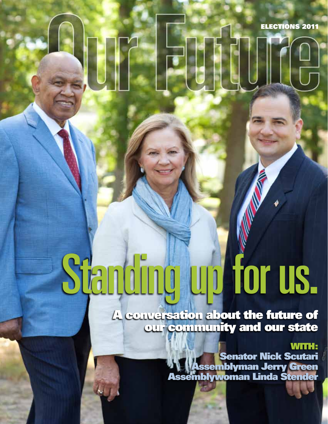ELECTIONS 2011

## Standing up for us.

A conversation about the future of our community and our state

### WITH:

Senator Nick Scutari Assemblyman Jerry Green Assemblywoman Linda Stender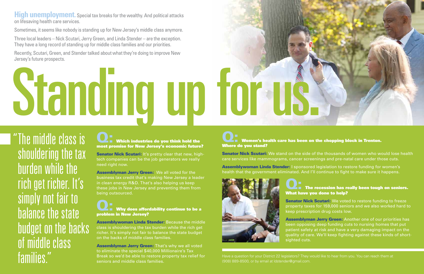# Standing up for us.

**High unemployment.** Special tax breaks for the wealthy. And political attacks on lifesaving health care services.

Sometimes, it seems like nobody is standing up for New Jersey's middle class anymore.

Three local leaders – Nick Scutari, Jerry Green, and Linda Stender – are the exception. They have a long record of standing up for middle class families and our priorities.

### **Q: Which industries do you think hold the** most promise for New Jersey's economic future?

Senator Nick Scutari: It's pretty clear that new, hightech companies can be the job generators we really need right now.

Recently, Scutari, Green, and Stender talked about what they're doing to improve New Jersey's future prospects.

> Assemblyman Jerry Green: We all voted for the business tax credit that's making New Jersey a leader in clean energy R&D. That's also helping us keep these jobs in New Jersey and preventing them from being outsourced.

### $\blacktriangle$   $\blacksquare$  Why does affordability continue to be a problem in New Jersey?

"The middle class is shouldering the tax burden while the rich get richer. It's simply not fair to balance the state **budget on the backs!** of middle class families."

Assemblyman Jerry Green: That's why we all voted to eliminate the special \$40,000 Millionaire's Tax Break so we'd be able to restore property tax relief for seniors and middle class families.

**The Women's health care has been on the chopping block in Trenton.** Where do you stand?

Assemblywoman Linda Stender: I sponsored legislation to restore funding for women's health that the government eliminated. And I'll continue to fight to make sure it happens.



- **Senator Nick Scutari:** We stand on the side of the thousands of women who would lose health
	-
	- $\blacktriangle$   $\blacksquare$  The recession has really been tough on seniors. What have you done to help?
	- **Senator Nick Scutari:** We voted to restore funding to freeze property taxes for 159,000 seniors and we also worked hard to keep prescription drug costs low.
	- Assemblyman Jerry Green: Another one of our priorities has been opposing deep funding cuts to nursing homes that put patient safety at risk and have a very damaging impact on the quality of care. We'll keep fighting against these kinds of short-

Assemblywoman Linda Stender: Because the middle class is shouldering the tax burden while the rich get richer. It's simply not fair to balance the state budget on the backs of middle class families.

care services like mammograms, cancer screenings and pre-natal care under those cuts.

sighted cuts.

Have a question for your District 22 legislators? They would like to hear from you. You can reach them at (908) 889-8500, or by email at ldstender@gmail.com.